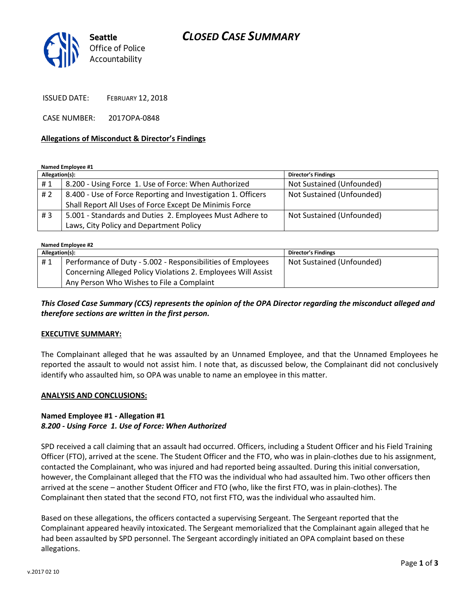# *CLOSED CASE SUMMARY*



ISSUED DATE: FEBRUARY 12, 2018

CASE NUMBER: 2017OPA-0848

### **Allegations of Misconduct & Director's Findings**

**Named Employee #1**

| Allegation(s): |                                                              | <b>Director's Findings</b> |
|----------------|--------------------------------------------------------------|----------------------------|
| #1             | 8.200 - Using Force 1. Use of Force: When Authorized         | Not Sustained (Unfounded)  |
| # 2            | 8.400 - Use of Force Reporting and Investigation 1. Officers | Not Sustained (Unfounded)  |
|                | Shall Report All Uses of Force Except De Minimis Force       |                            |
| #3             | 5.001 - Standards and Duties 2. Employees Must Adhere to     | Not Sustained (Unfounded)  |
|                | Laws, City Policy and Department Policy                      |                            |

**Named Employee #2**

| Allegation(s): |                                                               | <b>Director's Findings</b> |  |
|----------------|---------------------------------------------------------------|----------------------------|--|
| #1             | Performance of Duty - 5.002 - Responsibilities of Employees   | Not Sustained (Unfounded)  |  |
|                | Concerning Alleged Policy Violations 2. Employees Will Assist |                            |  |
|                | Any Person Who Wishes to File a Complaint                     |                            |  |

*This Closed Case Summary (CCS) represents the opinion of the OPA Director regarding the misconduct alleged and therefore sections are written in the first person.* 

#### **EXECUTIVE SUMMARY:**

The Complainant alleged that he was assaulted by an Unnamed Employee, and that the Unnamed Employees he reported the assault to would not assist him. I note that, as discussed below, the Complainant did not conclusively identify who assaulted him, so OPA was unable to name an employee in this matter.

#### **ANALYSIS AND CONCLUSIONS:**

## **Named Employee #1 - Allegation #1** *8.200 - Using Force 1. Use of Force: When Authorized*

SPD received a call claiming that an assault had occurred. Officers, including a Student Officer and his Field Training Officer (FTO), arrived at the scene. The Student Officer and the FTO, who was in plain-clothes due to his assignment, contacted the Complainant, who was injured and had reported being assaulted. During this initial conversation, however, the Complainant alleged that the FTO was the individual who had assaulted him. Two other officers then arrived at the scene – another Student Officer and FTO (who, like the first FTO, was in plain-clothes). The Complainant then stated that the second FTO, not first FTO, was the individual who assaulted him.

Based on these allegations, the officers contacted a supervising Sergeant. The Sergeant reported that the Complainant appeared heavily intoxicated. The Sergeant memorialized that the Complainant again alleged that he had been assaulted by SPD personnel. The Sergeant accordingly initiated an OPA complaint based on these allegations.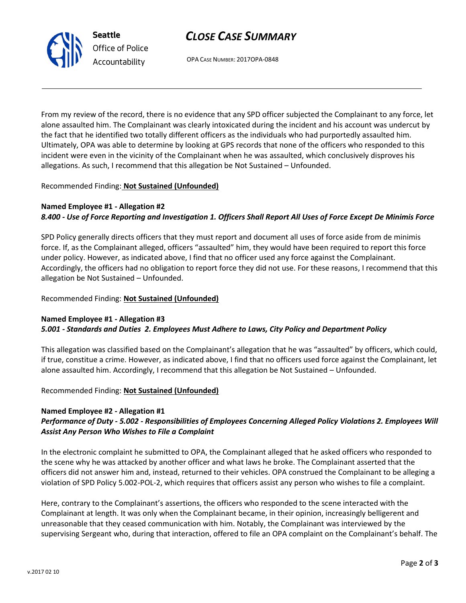# *CLOSE CASE SUMMARY*

OPA CASE NUMBER: 2017OPA-0848

From my review of the record, there is no evidence that any SPD officer subjected the Complainant to any force, let alone assaulted him. The Complainant was clearly intoxicated during the incident and his account was undercut by the fact that he identified two totally different officers as the individuals who had purportedly assaulted him. Ultimately, OPA was able to determine by looking at GPS records that none of the officers who responded to this incident were even in the vicinity of the Complainant when he was assaulted, which conclusively disproves his allegations. As such, I recommend that this allegation be Not Sustained – Unfounded.

## Recommended Finding: **Not Sustained (Unfounded)**

## **Named Employee #1 - Allegation #2**

## *8.400 - Use of Force Reporting and Investigation 1. Officers Shall Report All Uses of Force Except De Minimis Force*

SPD Policy generally directs officers that they must report and document all uses of force aside from de minimis force. If, as the Complainant alleged, officers "assaulted" him, they would have been required to report this force under policy. However, as indicated above, I find that no officer used any force against the Complainant. Accordingly, the officers had no obligation to report force they did not use. For these reasons, I recommend that this allegation be Not Sustained – Unfounded.

## Recommended Finding: **Not Sustained (Unfounded)**

#### **Named Employee #1 - Allegation #3** *5.001 - Standards and Duties 2. Employees Must Adhere to Laws, City Policy and Department Policy*

This allegation was classified based on the Complainant's allegation that he was "assaulted" by officers, which could, if true, constitue a crime. However, as indicated above, I find that no officers used force against the Complainant, let alone assaulted him. Accordingly, I recommend that this allegation be Not Sustained – Unfounded.

## Recommended Finding: **Not Sustained (Unfounded)**

## **Named Employee #2 - Allegation #1**

## *Performance of Duty - 5.002 - Responsibilities of Employees Concerning Alleged Policy Violations 2. Employees Will Assist Any Person Who Wishes to File a Complaint*

In the electronic complaint he submitted to OPA, the Complainant alleged that he asked officers who responded to the scene why he was attacked by another officer and what laws he broke. The Complainant asserted that the officers did not answer him and, instead, returned to their vehicles. OPA construed the Complainant to be alleging a violation of SPD Policy 5.002-POL-2, which requires that officers assist any person who wishes to file a complaint.

Here, contrary to the Complainant's assertions, the officers who responded to the scene interacted with the Complainant at length. It was only when the Complainant became, in their opinion, increasingly belligerent and unreasonable that they ceased communication with him. Notably, the Complainant was interviewed by the supervising Sergeant who, during that interaction, offered to file an OPA complaint on the Complainant's behalf. The



**Seattle** *Office of Police Accountability*